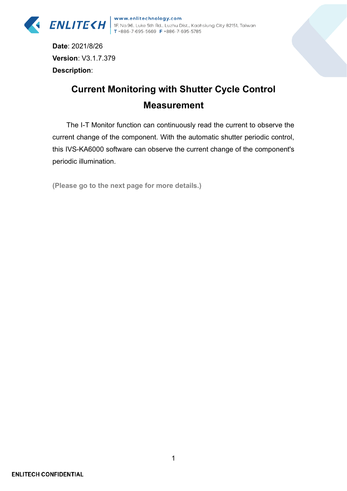

www.enlitechnology.com ENLITE (H) WWW.enlitechnology.com<br>T+886-7-695-5669 F+886-7-695-5785

**Date**: 2021/8/26 **Version**: V3.1.7.379 **Description**:

## **Current Monitoring with Shutter Cycle Control Measurement**

The I-T Monitor function can continuously read the current to observe the current change of the component. With the automatic shutter periodic control, this IVS-KA6000 software can observe the current change of the component's periodic illumination.

**(Please go to the next page for more details.)**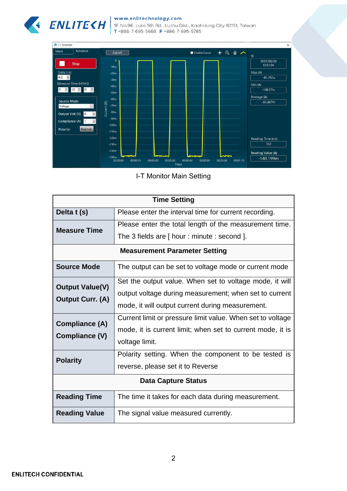

## www.enlitechnology.com

1F, No.96, Luke 5th Rd., Luzhu Dist., Kaohsiung City 82151, Taiwan  $T + 886 - 7 - 695 - 5669$   $F + 886 - 7 - 695 - 5785$ 



I-T Monitor Main Setting

| <b>Time Setting</b>                               |                                                            |  |
|---------------------------------------------------|------------------------------------------------------------|--|
| Delta t (s)                                       | Please enter the interval time for current recording.      |  |
| <b>Measure Time</b>                               | Please enter the total length of the measurement time.     |  |
|                                                   | The 3 fields are [ hour : minute : second ].               |  |
| <b>Measurement Parameter Setting</b>              |                                                            |  |
| <b>Source Mode</b>                                | The output can be set to voltage mode or current mode      |  |
| <b>Output Value(V)</b><br><b>Output Curr. (A)</b> | Set the output value. When set to voltage mode, it will    |  |
|                                                   | output voltage during measurement; when set to current     |  |
|                                                   | mode, it will output current during measurement.           |  |
| <b>Compliance (A)</b>                             | Current limit or pressure limit value. When set to voltage |  |
|                                                   | mode, it is current limit; when set to current mode, it is |  |
| Compliance (V)                                    | voltage limit.                                             |  |
| <b>Polarity</b>                                   | Polarity setting. When the component to be tested is       |  |
|                                                   | reverse, please set it to Reverse                          |  |
| <b>Data Capture Status</b>                        |                                                            |  |
| <b>Reading Time</b>                               | The time it takes for each data during measurement.        |  |
| <b>Reading Value</b>                              | The signal value measured currently.                       |  |